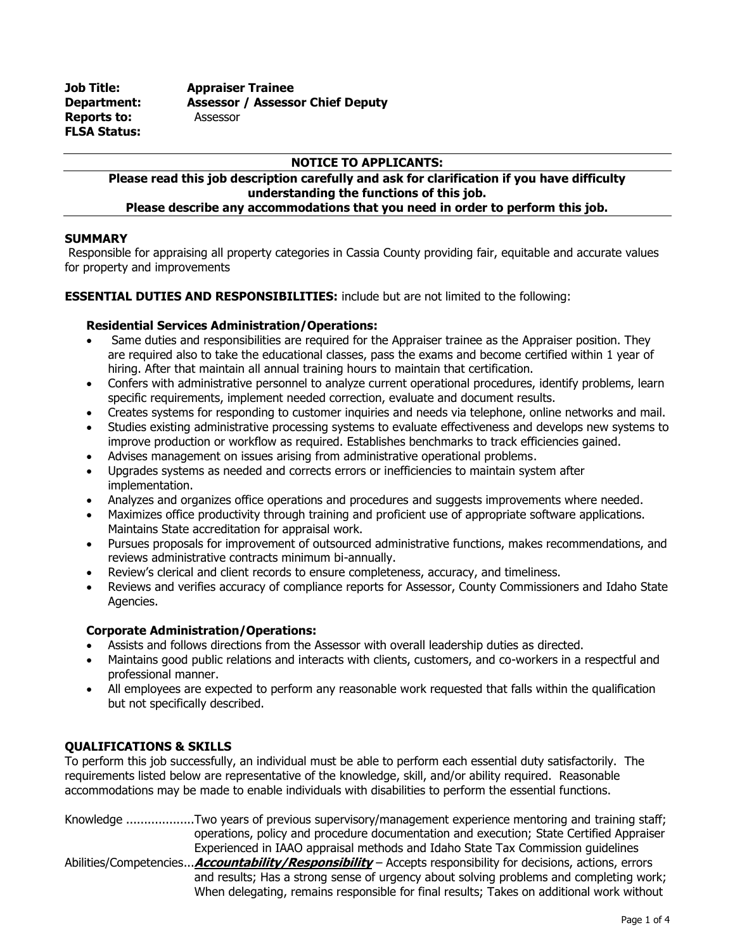**Job Title: Appraiser Trainee Department: Assessor / Assessor Chief Deputy Reports to:** Assessor **FLSA Status:**

# **NOTICE TO APPLICANTS:**

### **Please read this job description carefully and ask for clarification if you have difficulty understanding the functions of this job. Please describe any accommodations that you need in order to perform this job.**

# **SUMMARY**

Responsible for appraising all property categories in Cassia County providing fair, equitable and accurate values for property and improvements

# **ESSENTIAL DUTIES AND RESPONSIBILITIES:** include but are not limited to the following:

# **Residential Services Administration/Operations:**

- Same duties and responsibilities are required for the Appraiser trainee as the Appraiser position. They are required also to take the educational classes, pass the exams and become certified within 1 year of hiring. After that maintain all annual training hours to maintain that certification.
- Confers with administrative personnel to analyze current operational procedures, identify problems, learn specific requirements, implement needed correction, evaluate and document results.
- Creates systems for responding to customer inquiries and needs via telephone, online networks and mail.
- Studies existing administrative processing systems to evaluate effectiveness and develops new systems to improve production or workflow as required. Establishes benchmarks to track efficiencies gained.
- Advises management on issues arising from administrative operational problems.
- Upgrades systems as needed and corrects errors or inefficiencies to maintain system after implementation.
- Analyzes and organizes office operations and procedures and suggests improvements where needed.
- Maximizes office productivity through training and proficient use of appropriate software applications. Maintains State accreditation for appraisal work.
- Pursues proposals for improvement of outsourced administrative functions, makes recommendations, and reviews administrative contracts minimum bi-annually.
- Review's clerical and client records to ensure completeness, accuracy, and timeliness.
- Reviews and verifies accuracy of compliance reports for Assessor, County Commissioners and Idaho State Agencies.

# **Corporate Administration/Operations:**

- Assists and follows directions from the Assessor with overall leadership duties as directed.
- Maintains good public relations and interacts with clients, customers, and co-workers in a respectful and professional manner.
- All employees are expected to perform any reasonable work requested that falls within the qualification but not specifically described.

# **QUALIFICATIONS & SKILLS**

To perform this job successfully, an individual must be able to perform each essential duty satisfactorily. The requirements listed below are representative of the knowledge, skill, and/or ability required. Reasonable accommodations may be made to enable individuals with disabilities to perform the essential functions.

Knowledge ...................Two years of previous supervisory/management experience mentoring and training staff; operations, policy and procedure documentation and execution; State Certified Appraiser Experienced in IAAO appraisal methods and Idaho State Tax Commission guidelines Abilities/Competencies...**Accountability/Responsibility** – Accepts responsibility for decisions, actions, errors and results; Has a strong sense of urgency about solving problems and completing work; When delegating, remains responsible for final results; Takes on additional work without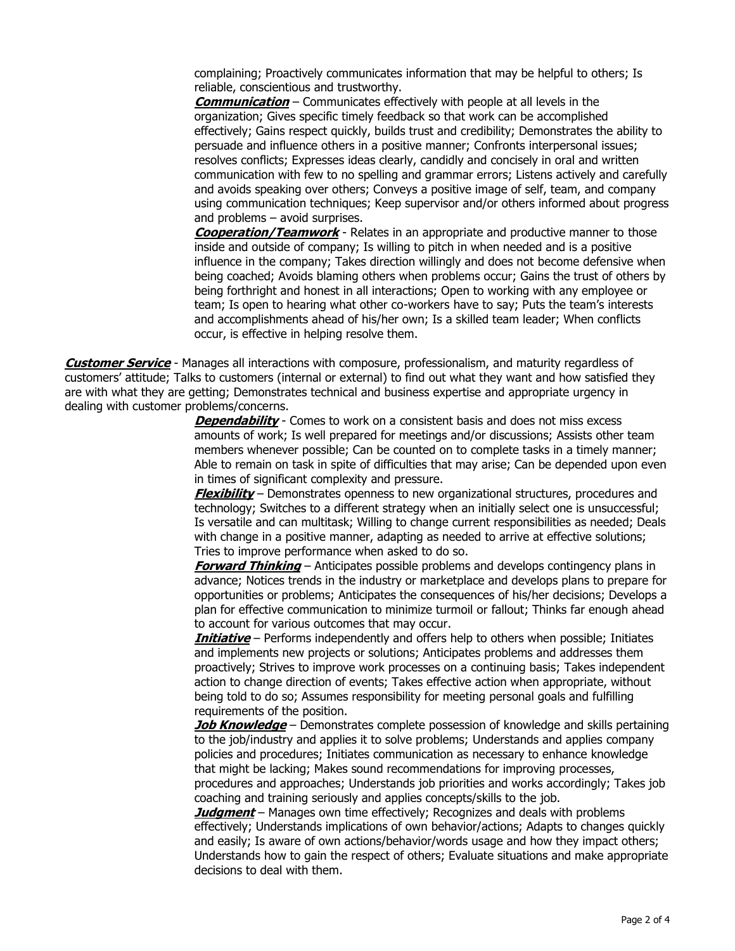complaining; Proactively communicates information that may be helpful to others; Is reliable, conscientious and trustworthy.

**Communication** – Communicates effectively with people at all levels in the organization; Gives specific timely feedback so that work can be accomplished effectively; Gains respect quickly, builds trust and credibility; Demonstrates the ability to persuade and influence others in a positive manner; Confronts interpersonal issues; resolves conflicts; Expresses ideas clearly, candidly and concisely in oral and written communication with few to no spelling and grammar errors; Listens actively and carefully and avoids speaking over others; Conveys a positive image of self, team, and company using communication techniques; Keep supervisor and/or others informed about progress and problems – avoid surprises.

**Cooperation/Teamwork** - Relates in an appropriate and productive manner to those inside and outside of company; Is willing to pitch in when needed and is a positive influence in the company; Takes direction willingly and does not become defensive when being coached; Avoids blaming others when problems occur; Gains the trust of others by being forthright and honest in all interactions; Open to working with any employee or team; Is open to hearing what other co-workers have to say; Puts the team's interests and accomplishments ahead of his/her own; Is a skilled team leader; When conflicts occur, is effective in helping resolve them.

**Customer Service** - Manages all interactions with composure, professionalism, and maturity regardless of customers' attitude; Talks to customers (internal or external) to find out what they want and how satisfied they are with what they are getting; Demonstrates technical and business expertise and appropriate urgency in dealing with customer problems/concerns.

> **Dependability** - Comes to work on a consistent basis and does not miss excess amounts of work; Is well prepared for meetings and/or discussions; Assists other team members whenever possible; Can be counted on to complete tasks in a timely manner; Able to remain on task in spite of difficulties that may arise; Can be depended upon even in times of significant complexity and pressure.

> **Flexibility** – Demonstrates openness to new organizational structures, procedures and technology; Switches to a different strategy when an initially select one is unsuccessful; Is versatile and can multitask; Willing to change current responsibilities as needed; Deals with change in a positive manner, adapting as needed to arrive at effective solutions; Tries to improve performance when asked to do so.

> **Forward Thinking** – Anticipates possible problems and develops contingency plans in advance; Notices trends in the industry or marketplace and develops plans to prepare for opportunities or problems; Anticipates the consequences of his/her decisions; Develops a plan for effective communication to minimize turmoil or fallout; Thinks far enough ahead to account for various outcomes that may occur.

> **Initiative** – Performs independently and offers help to others when possible; Initiates and implements new projects or solutions; Anticipates problems and addresses them proactively; Strives to improve work processes on a continuing basis; Takes independent action to change direction of events; Takes effective action when appropriate, without being told to do so; Assumes responsibility for meeting personal goals and fulfilling requirements of the position.

> **Job Knowledge** – Demonstrates complete possession of knowledge and skills pertaining to the job/industry and applies it to solve problems; Understands and applies company policies and procedures; Initiates communication as necessary to enhance knowledge that might be lacking; Makes sound recommendations for improving processes, procedures and approaches; Understands job priorities and works accordingly; Takes job coaching and training seriously and applies concepts/skills to the job.

> **Judgment** – Manages own time effectively; Recognizes and deals with problems effectively; Understands implications of own behavior/actions; Adapts to changes quickly and easily; Is aware of own actions/behavior/words usage and how they impact others; Understands how to gain the respect of others; Evaluate situations and make appropriate decisions to deal with them.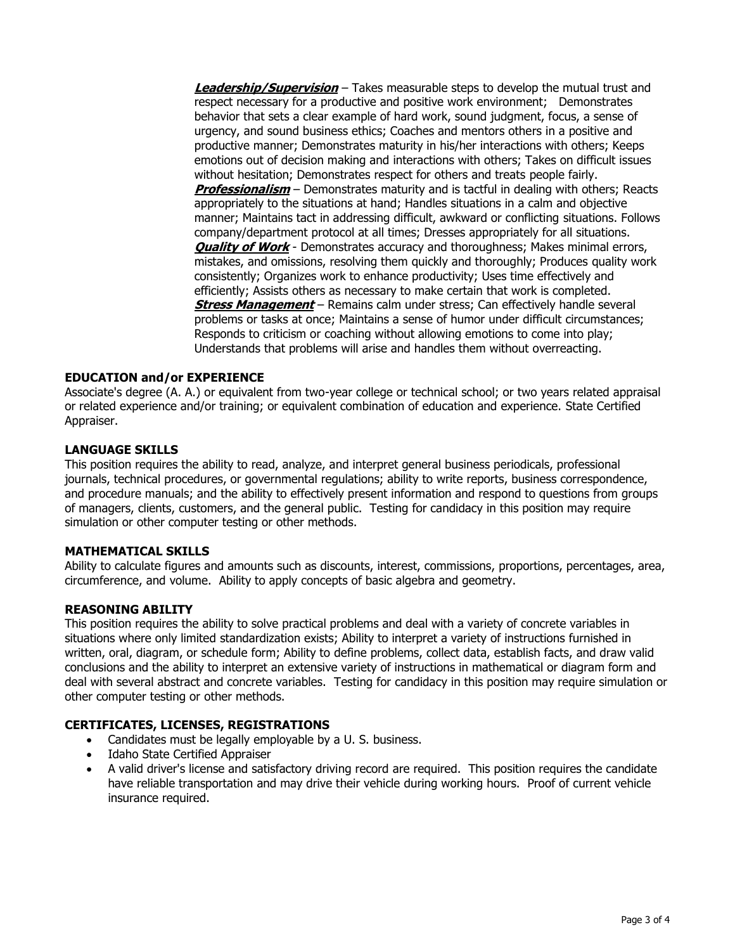**Leadership/Supervision** – Takes measurable steps to develop the mutual trust and respect necessary for a productive and positive work environment; Demonstrates behavior that sets a clear example of hard work, sound judgment, focus, a sense of urgency, and sound business ethics; Coaches and mentors others in a positive and productive manner; Demonstrates maturity in his/her interactions with others; Keeps emotions out of decision making and interactions with others; Takes on difficult issues without hesitation; Demonstrates respect for others and treats people fairly. **Professionalism** – Demonstrates maturity and is tactful in dealing with others; Reacts appropriately to the situations at hand; Handles situations in a calm and objective manner; Maintains tact in addressing difficult, awkward or conflicting situations. Follows company/department protocol at all times; Dresses appropriately for all situations. **Quality of Work** - Demonstrates accuracy and thoroughness; Makes minimal errors, mistakes, and omissions, resolving them quickly and thoroughly; Produces quality work consistently; Organizes work to enhance productivity; Uses time effectively and efficiently; Assists others as necessary to make certain that work is completed. **Stress Management** – Remains calm under stress; Can effectively handle several problems or tasks at once; Maintains a sense of humor under difficult circumstances; Responds to criticism or coaching without allowing emotions to come into play; Understands that problems will arise and handles them without overreacting.

# **EDUCATION and/or EXPERIENCE**

Associate's degree (A. A.) or equivalent from two-year college or technical school; or two years related appraisal or related experience and/or training; or equivalent combination of education and experience. State Certified Appraiser.

### **LANGUAGE SKILLS**

This position requires the ability to read, analyze, and interpret general business periodicals, professional journals, technical procedures, or governmental regulations; ability to write reports, business correspondence, and procedure manuals; and the ability to effectively present information and respond to questions from groups of managers, clients, customers, and the general public. Testing for candidacy in this position may require simulation or other computer testing or other methods.

#### **MATHEMATICAL SKILLS**

Ability to calculate figures and amounts such as discounts, interest, commissions, proportions, percentages, area, circumference, and volume. Ability to apply concepts of basic algebra and geometry.

#### **REASONING ABILITY**

This position requires the ability to solve practical problems and deal with a variety of concrete variables in situations where only limited standardization exists; Ability to interpret a variety of instructions furnished in written, oral, diagram, or schedule form; Ability to define problems, collect data, establish facts, and draw valid conclusions and the ability to interpret an extensive variety of instructions in mathematical or diagram form and deal with several abstract and concrete variables. Testing for candidacy in this position may require simulation or other computer testing or other methods.

### **CERTIFICATES, LICENSES, REGISTRATIONS**

- Candidates must be legally employable by a U. S. business.
- Idaho State Certified Appraiser
- A valid driver's license and satisfactory driving record are required. This position requires the candidate have reliable transportation and may drive their vehicle during working hours. Proof of current vehicle insurance required.